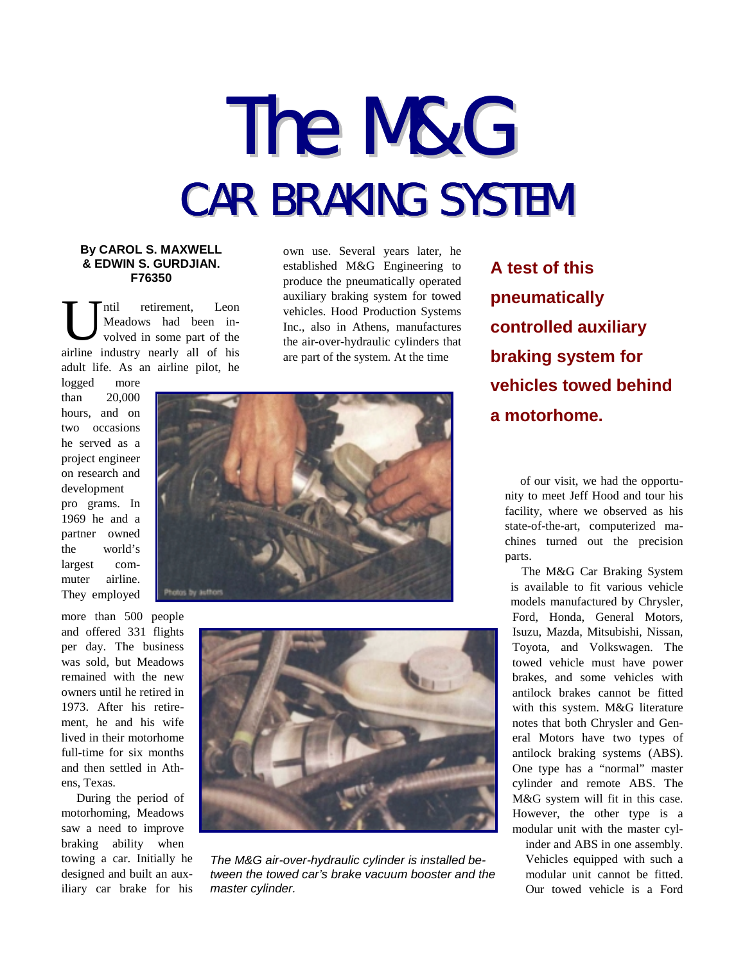## The M&G CAR BRAKING SYSTEM

## **By CAROL S. MAXWELL & EDWIN S. GURDJIAN. F76350**

ntil retirement, Leon Meadows had been involved in some part of the airline industry nearly all of his adult life. As an airline pilot, he U

logged more than 20,000 hours, and on two occasions he served as a project engineer on research and development

pro grams. In 1969 he and a partner owned the world's largest commuter airline. They employed

more than 500 people and offered 331 flights per day. The business was sold, but Meadows remained with the new owners until he retired in 1973. After his retirement, he and his wife lived in their motorhome full-time for six months and then settled in Athens, Texas.

During the period of motorhoming, Meadows saw a need to improve braking ability when towing a car. Initially he designed and built an auxiliary car brake for his own use. Several years later, he established M&G Engineering to produce the pneumatically operated auxiliary braking system for towed vehicles. Hood Production Systems Inc., also in Athens, manufactures the air-over-hydraulic cylinders that are part of the system. At the time





*The M&G air-over-hydraulic cylinder is installed between the towed car's brake vacuum booster and the master cylinder.*

**A test of this pneumatically controlled auxiliary braking system for vehicles towed behind a motorhome.**

of our visit, we had the opportunity to meet Jeff Hood and tour his facility, where we observed as his state-of-the-art, computerized machines turned out the precision parts.

The M&G Car Braking System is available to fit various vehicle models manufactured by Chrysler, Ford, Honda, General Motors, Isuzu, Mazda, Mitsubishi, Nissan, Toyota, and Volkswagen. The towed vehicle must have power brakes, and some vehicles with antilock brakes cannot be fitted with this system. M&G literature notes that both Chrysler and General Motors have two types of antilock braking systems (ABS). One type has a "normal" master cylinder and remote ABS. The M&G system will fit in this case. However, the other type is a modular unit with the master cyl-

inder and ABS in one assembly. Vehicles equipped with such a modular unit cannot be fitted. Our towed vehicle is a Ford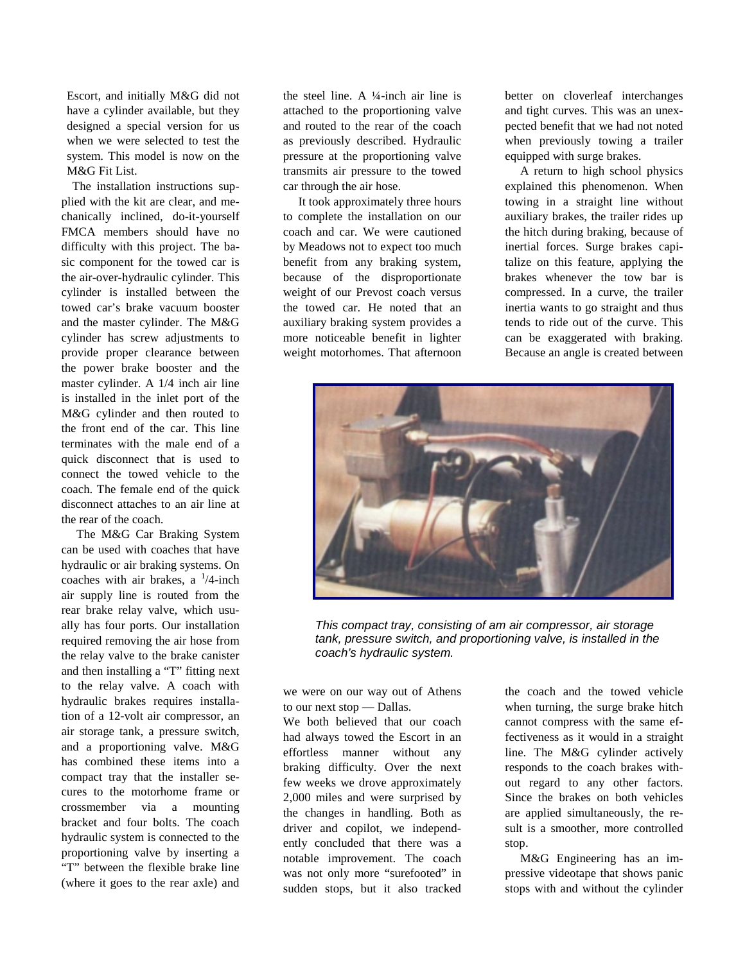Escort, and initially M&G did not have a cylinder available, but they designed a special version for us when we were selected to test the system. This model is now on the M&G Fit List.

The installation instructions supplied with the kit are clear, and mechanically inclined, do-it-yourself FMCA members should have no difficulty with this project. The basic component for the towed car is the air-over-hydraulic cylinder. This cylinder is installed between the towed car's brake vacuum booster and the master cylinder. The M&G cylinder has screw adjustments to provide proper clearance between the power brake booster and the master cylinder. A 1/4 inch air line is installed in the inlet port of the M&G cylinder and then routed to the front end of the car. This line terminates with the male end of a quick disconnect that is used to connect the towed vehicle to the coach. The female end of the quick disconnect attaches to an air line at the rear of the coach.

The M&G Car Braking System can be used with coaches that have hydraulic or air braking systems. On coaches with air brakes, a  $\frac{1}{4}$ -inch air supply line is routed from the rear brake relay valve, which usually has four ports. Our installation required removing the air hose from the relay valve to the brake canister and then installing a "T" fitting next to the relay valve. A coach with hydraulic brakes requires installation of a 12-volt air compressor, an air storage tank, a pressure switch, and a proportioning valve. M&G has combined these items into a compact tray that the installer secures to the motorhome frame or crossmember via a mounting bracket and four bolts. The coach hydraulic system is connected to the proportioning valve by inserting a "T" between the flexible brake line (where it goes to the rear axle) and the steel line. A  $\frac{1}{4}$ -inch air line is attached to the proportioning valve and routed to the rear of the coach as previously described. Hydraulic pressure at the proportioning valve transmits air pressure to the towed car through the air hose.

It took approximately three hours to complete the installation on our coach and car. We were cautioned by Meadows not to expect too much benefit from any braking system, because of the disproportionate weight of our Prevost coach versus the towed car. He noted that an auxiliary braking system provides a more noticeable benefit in lighter weight motorhomes. That afternoon

better on cloverleaf interchanges and tight curves. This was an unexpected benefit that we had not noted when previously towing a trailer equipped with surge brakes.

A return to high school physics explained this phenomenon. When towing in a straight line without auxiliary brakes, the trailer rides up the hitch during braking, because of inertial forces. Surge brakes capitalize on this feature, applying the brakes whenever the tow bar is compressed. In a curve, the trailer inertia wants to go straight and thus tends to ride out of the curve. This can be exaggerated with braking. Because an angle is created between



*This compact tray, consisting of am air compressor, air storage tank, pressure switch, and proportioning valve, is installed in the coach's hydraulic system.*

we were on our way out of Athens to our next stop — Dallas.

We both believed that our coach had always towed the Escort in an effortless manner without any braking difficulty. Over the next few weeks we drove approximately 2,000 miles and were surprised by the changes in handling. Both as driver and copilot, we independently concluded that there was a notable improvement. The coach was not only more "surefooted" in sudden stops, but it also tracked

the coach and the towed vehicle when turning, the surge brake hitch cannot compress with the same effectiveness as it would in a straight line. The M&G cylinder actively responds to the coach brakes without regard to any other factors. Since the brakes on both vehicles are applied simultaneously, the result is a smoother, more controlled stop.

M&G Engineering has an impressive videotape that shows panic stops with and without the cylinder